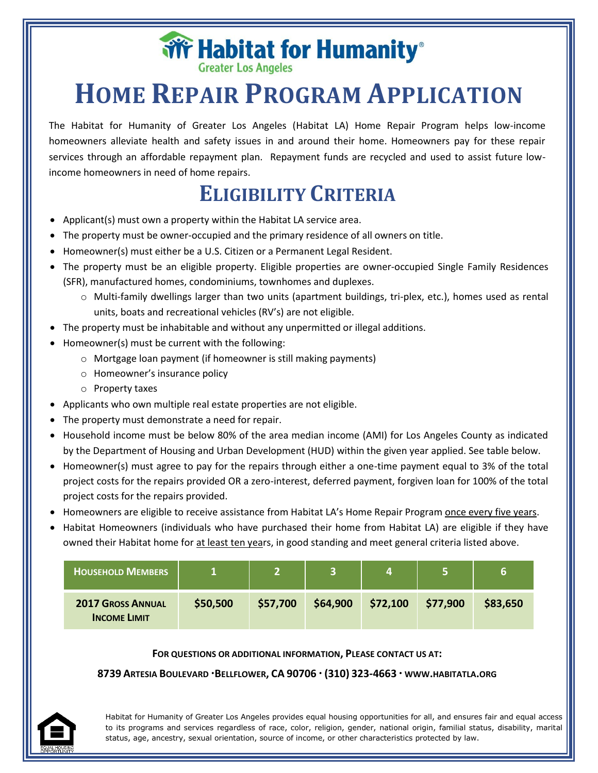**Wr Habitat for Humanity**®

# **HOME REPAIR PROGRAM APPLICATION**

The Habitat for Humanity of Greater Los Angeles (Habitat LA) Home Repair Program helps low-income homeowners alleviate health and safety issues in and around their home. Homeowners pay for these repair services through an affordable repayment plan. Repayment funds are recycled and used to assist future lowincome homeowners in need of home repairs.

## **ELIGIBILITY CRITERIA**

- Applicant(s) must own a property within the Habitat LA service area.
- The property must be owner-occupied and the primary residence of all owners on title.
- Homeowner(s) must either be a U.S. Citizen or a Permanent Legal Resident.
- The property must be an eligible property. Eligible properties are owner-occupied Single Family Residences (SFR), manufactured homes, condominiums, townhomes and duplexes.
	- o Multi-family dwellings larger than two units (apartment buildings, tri-plex, etc.), homes used as rental units, boats and recreational vehicles (RV's) are not eligible.
- The property must be inhabitable and without any unpermitted or illegal additions.
- Homeowner(s) must be current with the following:
	- o Mortgage loan payment (if homeowner is still making payments)
	- o Homeowner's insurance policy
	- o Property taxes
- Applicants who own multiple real estate properties are not eligible.
- The property must demonstrate a need for repair.
- Household income must be below 80% of the area median income (AMI) for Los Angeles County as indicated by the Department of Housing and Urban Development (HUD) within the given year applied. See table below.
- Homeowner(s) must agree to pay for the repairs through either a one-time payment equal to 3% of the total project costs for the repairs provided OR a zero-interest, deferred payment, forgiven loan for 100% of the total project costs for the repairs provided.
- Homeowners are eligible to receive assistance from Habitat LA's Home Repair Program once every five years.
- Habitat Homeowners (individuals who have purchased their home from Habitat LA) are eligible if they have owned their Habitat home for at least ten years, in good standing and meet general criteria listed above.

| <b>HOUSEHOLD MEMBERS</b>                        |          |          |          |          |          | 6        |
|-------------------------------------------------|----------|----------|----------|----------|----------|----------|
| <b>2017 GROSS ANNUAL</b><br><b>INCOME LIMIT</b> | \$50,500 | \$57,700 | \$64,900 | \$72,100 | \$77,900 | \$83,650 |

#### **FOR QUESTIONS OR ADDITIONAL INFORMATION, PLEASE CONTACT US AT:**

#### **8739 ARTESIA BOULEVARD BELLFLOWER, CA 90706 (310) 323-4663 WWW.HABITATLA.ORG**

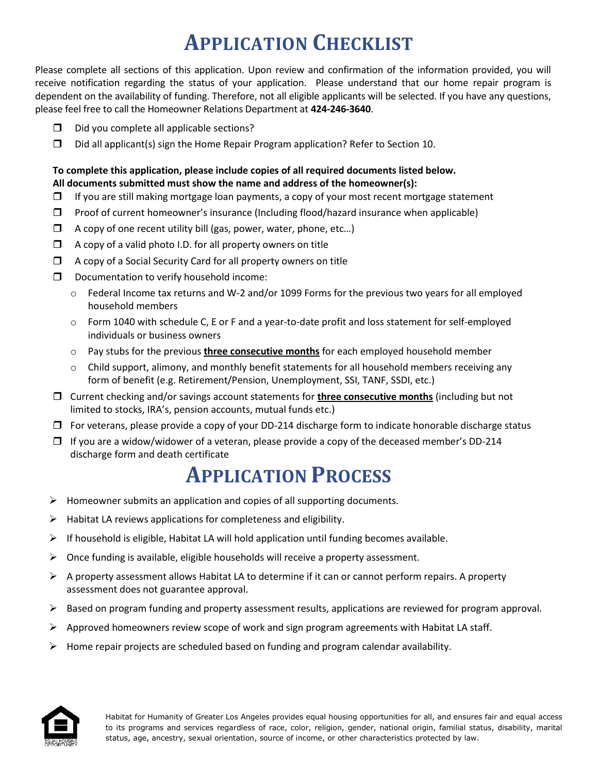## **APPLICATION CHECKLIST**

Please complete all sections of this application. Upon review and confirmation of the information provided, you will receive notification regarding the status of your application. Please understand that our home repair program is dependent on the availability of funding. Therefore, not all eligible applicants will be selected. If you have any questions, please feel free to call the Homeowner Relations Department at **424-246-3640**.

- $\square$  Did you complete all applicable sections?
- $\square$  Did all applicant(s) sign the Home Repair Program application? Refer to Section 10.

### **To complete this application, please include copies of all required documents listed below. All documents submitted must show the name and address of the homeowner(s):**

- $\Box$  If you are still making mortgage loan payments, a copy of your most recent mortgage statement
- $\Box$  Proof of current homeowner's insurance (Including flood/hazard insurance when applicable)
- $\Box$  A copy of one recent utility bill (gas, power, water, phone, etc...)
- $\Box$  A copy of a valid photo I.D. for all property owners on title
- $\Box$  A copy of a Social Security Card for all property owners on title
- D Documentation to verify household income:
	- o Federal Income tax returns and W-2 and/or 1099 Forms for the previous two years for all employed household members
	- o Form 1040 with schedule C, E or F and a year-to-date profit and loss statement for self-employed individuals or business owners
	- o Pay stubs for the previous **three consecutive months** for each employed household member
	- $\circ$  Child support, alimony, and monthly benefit statements for all household members receiving any form of benefit (e.g. Retirement/Pension, Unemployment, SSI, TANF, SSDI, etc.)
- Current checking and/or savings account statements for **three consecutive months** (including but not limited to stocks, IRA's, pension accounts, mutual funds etc.)
- $\Box$  For veterans, please provide a copy of your DD-214 discharge form to indicate honorable discharge status
- $\Box$  If you are a widow/widower of a veteran, please provide a copy of the deceased member's DD-214 discharge form and death certificate

### **APPLICATION PROCESS**

- $\triangleright$  Homeowner submits an application and copies of all supporting documents.
- $\triangleright$  Habitat LA reviews applications for completeness and eligibility.
- $\triangleright$  If household is eligible, Habitat LA will hold application until funding becomes available.
- $\triangleright$  Once funding is available, eligible households will receive a property assessment.
- $\triangleright$  A property assessment allows Habitat LA to determine if it can or cannot perform repairs. A property assessment does not guarantee approval.
- $\triangleright$  Based on program funding and property assessment results, applications are reviewed for program approval.
- $\triangleright$  Approved homeowners review scope of work and sign program agreements with Habitat LA staff.
- $\triangleright$  Home repair projects are scheduled based on funding and program calendar availability.

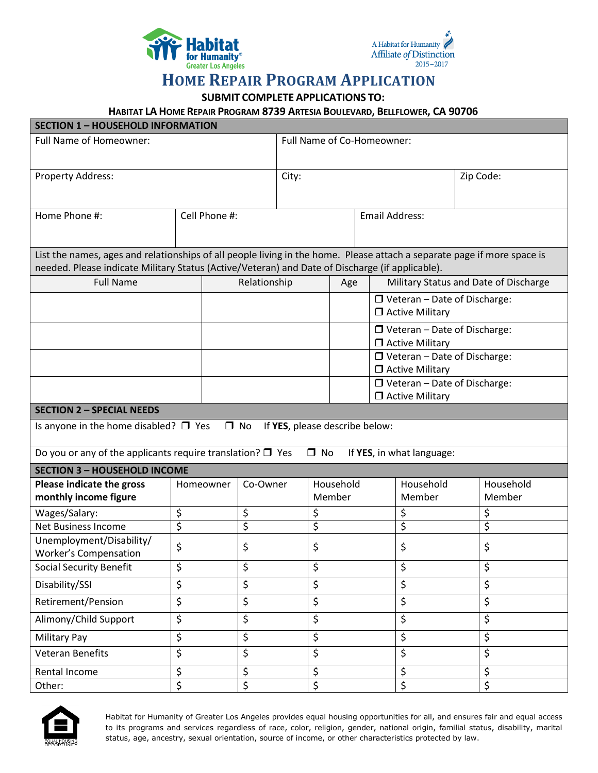



### **HOME REPAIR PROGRAM APPLICATION**

**SUBMIT COMPLETE APPLICATIONS TO:**

**HABITAT LA HOME REPAIR PROGRAM 8739 ARTESIA BOULEVARD, BELLFLOWER, CA 90706**

| <b>SECTION 1 - HOUSEHOLD INFORMATION</b>                                                                                                                                                                                   |                              |              |                            |                       |  |                                                               |                                       |           |
|----------------------------------------------------------------------------------------------------------------------------------------------------------------------------------------------------------------------------|------------------------------|--------------|----------------------------|-----------------------|--|---------------------------------------------------------------|---------------------------------------|-----------|
| Full Name of Homeowner:                                                                                                                                                                                                    |                              |              | Full Name of Co-Homeowner: |                       |  |                                                               |                                       |           |
|                                                                                                                                                                                                                            |                              |              |                            |                       |  |                                                               |                                       |           |
| Property Address:                                                                                                                                                                                                          |                              |              | City:                      |                       |  |                                                               | Zip Code:                             |           |
|                                                                                                                                                                                                                            |                              |              |                            |                       |  |                                                               |                                       |           |
| Home Phone #:                                                                                                                                                                                                              | Cell Phone #:                |              |                            | <b>Email Address:</b> |  |                                                               |                                       |           |
|                                                                                                                                                                                                                            |                              |              |                            |                       |  |                                                               |                                       |           |
| List the names, ages and relationships of all people living in the home. Please attach a separate page if more space is<br>needed. Please indicate Military Status (Active/Veteran) and Date of Discharge (if applicable). |                              |              |                            |                       |  |                                                               |                                       |           |
| <b>Full Name</b>                                                                                                                                                                                                           |                              | Relationship |                            | Age                   |  |                                                               | Military Status and Date of Discharge |           |
|                                                                                                                                                                                                                            |                              |              |                            |                       |  | $\Box$ Veteran - Date of Discharge:<br>$\Box$ Active Military |                                       |           |
|                                                                                                                                                                                                                            |                              |              |                            |                       |  | $\Box$ Veteran - Date of Discharge:<br>$\Box$ Active Military |                                       |           |
|                                                                                                                                                                                                                            |                              |              |                            |                       |  | □ Veteran - Date of Discharge:<br>$\Box$ Active Military      |                                       |           |
|                                                                                                                                                                                                                            |                              |              |                            |                       |  | $\Box$ Veteran - Date of Discharge:<br>$\Box$ Active Military |                                       |           |
| <b>SECTION 2 - SPECIAL NEEDS</b>                                                                                                                                                                                           |                              |              |                            |                       |  |                                                               |                                       |           |
| Is anyone in the home disabled? $\Box$ Yes<br>$\Box$ No<br>If YES, please describe below:                                                                                                                                  |                              |              |                            |                       |  |                                                               |                                       |           |
| Do you or any of the applicants require translation? $\Box$ Yes                                                                                                                                                            |                              |              |                            | $\Box$ No             |  | If YES, in what language:                                     |                                       |           |
| <b>SECTION 3 - HOUSEHOLD INCOME</b>                                                                                                                                                                                        |                              |              |                            |                       |  |                                                               |                                       |           |
| Please indicate the gross                                                                                                                                                                                                  | Homeowner                    | Co-Owner     | Household                  |                       |  | Household                                                     |                                       | Household |
| monthly income figure                                                                                                                                                                                                      |                              |              | Member                     |                       |  | Member                                                        |                                       | Member    |
| Wages/Salary:                                                                                                                                                                                                              | \$<br>\$                     |              |                            | \$                    |  | \$                                                            |                                       | \$        |
| <b>Net Business Income</b>                                                                                                                                                                                                 | $\overline{\varsigma}$<br>\$ |              |                            | \$                    |  | \$                                                            |                                       | \$        |
| Unemployment/Disability/<br><b>Worker's Compensation</b>                                                                                                                                                                   | \$                           | \$           |                            | \$                    |  | \$                                                            |                                       | \$        |
| <b>Social Security Benefit</b>                                                                                                                                                                                             | \$<br>\$                     |              |                            | \$                    |  | \$                                                            |                                       | \$        |
| Disability/SSI                                                                                                                                                                                                             | \$<br>\$                     |              |                            | \$                    |  | \$                                                            |                                       | \$        |
| Retirement/Pension                                                                                                                                                                                                         | \$<br>\$                     |              |                            | \$                    |  | \$                                                            |                                       | \$        |
| Alimony/Child Support                                                                                                                                                                                                      | \$<br>\$                     |              |                            | \$                    |  | \$                                                            |                                       | \$        |
| Military Pay                                                                                                                                                                                                               | \$<br>\$                     |              |                            | \$                    |  | \$                                                            |                                       | \$        |
| <b>Veteran Benefits</b>                                                                                                                                                                                                    | \$<br>\$                     |              |                            | \$                    |  | \$                                                            |                                       | \$        |
| Rental Income                                                                                                                                                                                                              | \$<br>\$                     |              |                            | \$                    |  | \$                                                            |                                       | \$        |
| Other:                                                                                                                                                                                                                     | \$<br>$\overline{\varsigma}$ |              |                            | \$                    |  | \$                                                            |                                       | \$        |

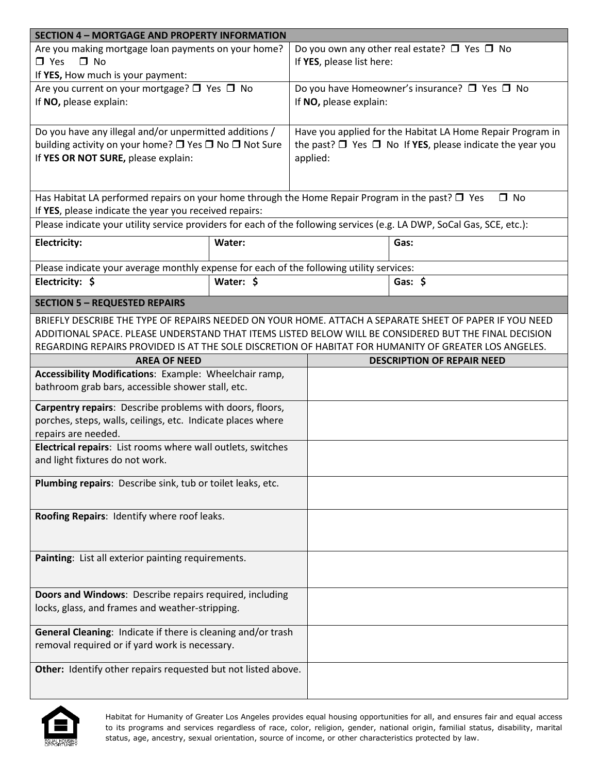| <b>SECTION 4 - MORTGAGE AND PROPERTY INFORMATION</b>                                                                   |           |                           |                                                                     |  |  |
|------------------------------------------------------------------------------------------------------------------------|-----------|---------------------------|---------------------------------------------------------------------|--|--|
| Are you making mortgage loan payments on your home?                                                                    |           |                           | Do you own any other real estate? $\Box$ Yes $\Box$ No              |  |  |
| $\Box$ No<br>$\Box$ Yes                                                                                                |           | If YES, please list here: |                                                                     |  |  |
| If YES, How much is your payment:                                                                                      |           |                           |                                                                     |  |  |
| Are you current on your mortgage? □ Yes □ No                                                                           |           |                           | Do you have Homeowner's insurance? □ Yes □ No                       |  |  |
| If NO, please explain:                                                                                                 |           | If NO, please explain:    |                                                                     |  |  |
|                                                                                                                        |           |                           |                                                                     |  |  |
| Do you have any illegal and/or unpermitted additions /                                                                 |           |                           | Have you applied for the Habitat LA Home Repair Program in          |  |  |
| building activity on your home? □ Yes □ No □ Not Sure                                                                  |           |                           | the past? $\Box$ Yes $\Box$ No If YES, please indicate the year you |  |  |
| If YES OR NOT SURE, please explain:                                                                                    |           | applied:                  |                                                                     |  |  |
|                                                                                                                        |           |                           |                                                                     |  |  |
|                                                                                                                        |           |                           |                                                                     |  |  |
| Has Habitat LA performed repairs on your home through the Home Repair Program in the past? $\square$ Yes               |           |                           | $\Box$ No                                                           |  |  |
| If YES, please indicate the year you received repairs:                                                                 |           |                           |                                                                     |  |  |
| Please indicate your utility service providers for each of the following services (e.g. LA DWP, SoCal Gas, SCE, etc.): |           |                           |                                                                     |  |  |
| <b>Electricity:</b>                                                                                                    | Water:    |                           | Gas:                                                                |  |  |
|                                                                                                                        |           |                           |                                                                     |  |  |
| Please indicate your average monthly expense for each of the following utility services:                               |           |                           |                                                                     |  |  |
| Electricity: \$                                                                                                        | Water: \$ |                           | Gas: $$$                                                            |  |  |
|                                                                                                                        |           |                           |                                                                     |  |  |
| <b>SECTION 5 - REQUESTED REPAIRS</b>                                                                                   |           |                           |                                                                     |  |  |
| BRIEFLY DESCRIBE THE TYPE OF REPAIRS NEEDED ON YOUR HOME. ATTACH A SEPARATE SHEET OF PAPER IF YOU NEED                 |           |                           |                                                                     |  |  |
| ADDITIONAL SPACE. PLEASE UNDERSTAND THAT ITEMS LISTED BELOW WILL BE CONSIDERED BUT THE FINAL DECISION                  |           |                           |                                                                     |  |  |
| REGARDING REPAIRS PROVIDED IS AT THE SOLE DISCRETION OF HABITAT FOR HUMANITY OF GREATER LOS ANGELES.                   |           |                           |                                                                     |  |  |
| <b>AREA OF NEED</b>                                                                                                    |           |                           | <b>DESCRIPTION OF REPAIR NEED</b>                                   |  |  |
| Accessibility Modifications: Example: Wheelchair ramp,                                                                 |           |                           |                                                                     |  |  |
| bathroom grab bars, accessible shower stall, etc.                                                                      |           |                           |                                                                     |  |  |
| Carpentry repairs: Describe problems with doors, floors,                                                               |           |                           |                                                                     |  |  |
| porches, steps, walls, ceilings, etc. Indicate places where                                                            |           |                           |                                                                     |  |  |
| repairs are needed.                                                                                                    |           |                           |                                                                     |  |  |
| Electrical repairs: List rooms where wall outlets, switches                                                            |           |                           |                                                                     |  |  |
| and light fixtures do not work.                                                                                        |           |                           |                                                                     |  |  |
|                                                                                                                        |           |                           |                                                                     |  |  |
| Plumbing repairs: Describe sink, tub or toilet leaks, etc.                                                             |           |                           |                                                                     |  |  |
|                                                                                                                        |           |                           |                                                                     |  |  |
| Roofing Repairs: Identify where roof leaks.                                                                            |           |                           |                                                                     |  |  |
|                                                                                                                        |           |                           |                                                                     |  |  |
|                                                                                                                        |           |                           |                                                                     |  |  |
| Painting: List all exterior painting requirements.                                                                     |           |                           |                                                                     |  |  |
|                                                                                                                        |           |                           |                                                                     |  |  |
|                                                                                                                        |           |                           |                                                                     |  |  |
| Doors and Windows: Describe repairs required, including                                                                |           |                           |                                                                     |  |  |
| locks, glass, and frames and weather-stripping.                                                                        |           |                           |                                                                     |  |  |
|                                                                                                                        |           |                           |                                                                     |  |  |
| General Cleaning: Indicate if there is cleaning and/or trash                                                           |           |                           |                                                                     |  |  |
| removal required or if yard work is necessary.                                                                         |           |                           |                                                                     |  |  |
|                                                                                                                        |           |                           |                                                                     |  |  |
| Other: Identify other repairs requested but not listed above.                                                          |           |                           |                                                                     |  |  |
|                                                                                                                        |           |                           |                                                                     |  |  |

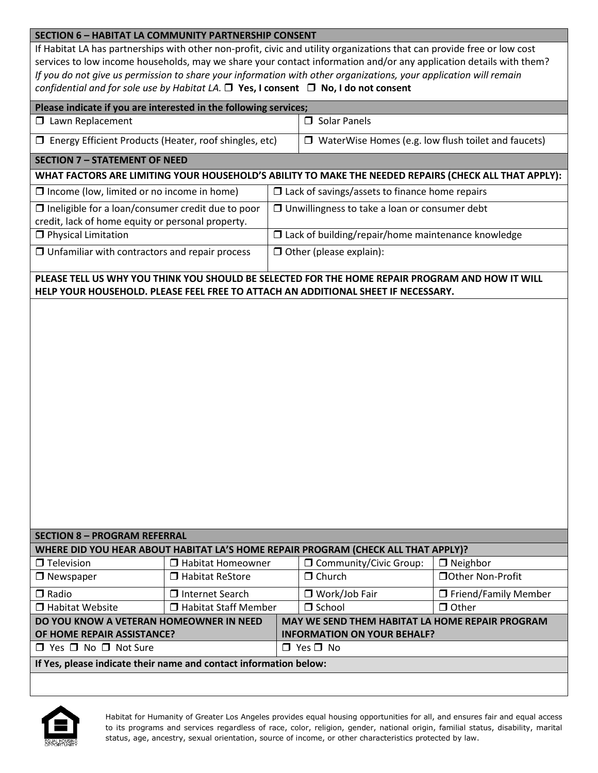#### **SECTION 6 – HABITAT LA COMMUNITY PARTNERSHIP CONSENT**

If Habitat LA has partnerships with other non-profit, civic and utility organizations that can provide free or low cost services to low income households, may we share your contact information and/or any application details with them? *If you do not give us permission to share your information with other organizations, your application will remain confidential and for sole use by Habitat LA.*  **Yes, I consent No, I do not consent**

| confidential and for sole use by Habitat LA. $\Box$ Yes, I consent $\Box$ No, I do not consent                |                        |                                                           |                                                                                                 |                        |  |  |
|---------------------------------------------------------------------------------------------------------------|------------------------|-----------------------------------------------------------|-------------------------------------------------------------------------------------------------|------------------------|--|--|
| Please indicate if you are interested in the following services;                                              |                        |                                                           |                                                                                                 |                        |  |  |
| <b>I</b> Lawn Replacement                                                                                     |                        |                                                           | $\Box$ Solar Panels                                                                             |                        |  |  |
| □ Energy Efficient Products (Heater, roof shingles, etc)                                                      |                        |                                                           | $\Box$ WaterWise Homes (e.g. low flush toilet and faucets)                                      |                        |  |  |
| <b>SECTION 7 - STATEMENT OF NEED</b>                                                                          |                        |                                                           |                                                                                                 |                        |  |  |
| WHAT FACTORS ARE LIMITING YOUR HOUSEHOLD'S ABILITY TO MAKE THE NEEDED REPAIRS (CHECK ALL THAT APPLY):         |                        |                                                           |                                                                                                 |                        |  |  |
| $\Box$ Income (low, limited or no income in home)                                                             |                        | $\square$ Lack of savings/assets to finance home repairs  |                                                                                                 |                        |  |  |
| $\Box$ Ineligible for a loan/consumer credit due to poor<br>credit, lack of home equity or personal property. |                        | $\Box$ Unwillingness to take a loan or consumer debt      |                                                                                                 |                        |  |  |
| <b>O</b> Physical Limitation                                                                                  |                        | $\Box$ Lack of building/repair/home maintenance knowledge |                                                                                                 |                        |  |  |
| $\Box$ Unfamiliar with contractors and repair process                                                         |                        | $\Box$ Other (please explain):                            |                                                                                                 |                        |  |  |
|                                                                                                               |                        |                                                           | PLEASE TELL US WHY YOU THINK YOU SHOULD BE SELECTED FOR THE HOME REPAIR PROGRAM AND HOW IT WILL |                        |  |  |
|                                                                                                               |                        |                                                           | HELP YOUR HOUSEHOLD. PLEASE FEEL FREE TO ATTACH AN ADDITIONAL SHEET IF NECESSARY.               |                        |  |  |
|                                                                                                               |                        |                                                           |                                                                                                 |                        |  |  |
|                                                                                                               |                        |                                                           |                                                                                                 |                        |  |  |
|                                                                                                               |                        |                                                           |                                                                                                 |                        |  |  |
|                                                                                                               |                        |                                                           |                                                                                                 |                        |  |  |
|                                                                                                               |                        |                                                           |                                                                                                 |                        |  |  |
|                                                                                                               |                        |                                                           |                                                                                                 |                        |  |  |
|                                                                                                               |                        |                                                           |                                                                                                 |                        |  |  |
|                                                                                                               |                        |                                                           |                                                                                                 |                        |  |  |
|                                                                                                               |                        |                                                           |                                                                                                 |                        |  |  |
|                                                                                                               |                        |                                                           |                                                                                                 |                        |  |  |
|                                                                                                               |                        |                                                           |                                                                                                 |                        |  |  |
|                                                                                                               |                        |                                                           |                                                                                                 |                        |  |  |
|                                                                                                               |                        |                                                           |                                                                                                 |                        |  |  |
|                                                                                                               |                        |                                                           |                                                                                                 |                        |  |  |
|                                                                                                               |                        |                                                           |                                                                                                 |                        |  |  |
| <b>SECTION 8 - PROGRAM REFERRAL</b>                                                                           |                        |                                                           |                                                                                                 |                        |  |  |
|                                                                                                               |                        |                                                           | WHERE DID YOU HEAR ABOUT HABITAT LA'S HOME REPAIR PROGRAM (CHECK ALL THAT APPLY)?               |                        |  |  |
| $\Box$ Television                                                                                             | □ Habitat Homeowner    |                                                           | <b>I</b> Community/Civic Group:                                                                 | $\Box$ Neighbor        |  |  |
| $\Box$ Newspaper                                                                                              | □ Habitat ReStore      |                                                           | $\Box$ Church                                                                                   | □ Other Non-Profit     |  |  |
| $\Box$ Radio                                                                                                  | □ Internet Search      |                                                           | □ Work/Job Fair                                                                                 | □ Friend/Family Member |  |  |
| □ Habitat Website                                                                                             | □ Habitat Staff Member |                                                           | $\Box$ School                                                                                   | $\Box$ Other           |  |  |
| DO YOU KNOW A VETERAN HOMEOWNER IN NEED                                                                       |                        |                                                           | MAY WE SEND THEM HABITAT LA HOME REPAIR PROGRAM                                                 |                        |  |  |
| OF HOME REPAIR ASSISTANCE?                                                                                    |                        |                                                           | <b>INFORMATION ON YOUR BEHALF?</b>                                                              |                        |  |  |

**If Yes, please indicate their name and contact information below:**

 $\Box$  Yes  $\Box$  No  $\Box$  Not Sure  $\Box$  Yes  $\Box$  No